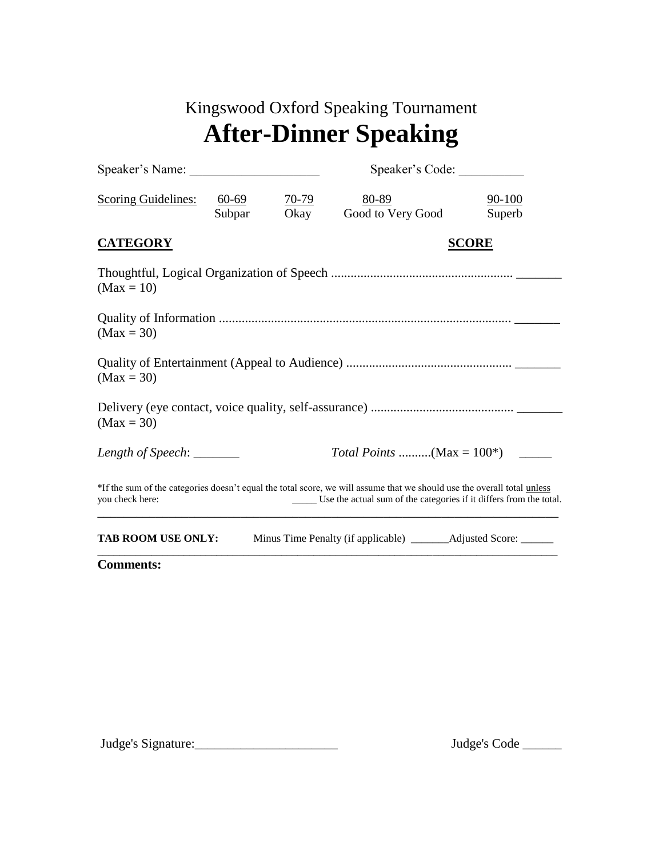## Kingswood Oxford Speaking Tournament **After-Dinner Speaking**

| Speaker's Name:                                                                                                                                                                                                        |                 |                      | Speaker's Code:               |                  |  |
|------------------------------------------------------------------------------------------------------------------------------------------------------------------------------------------------------------------------|-----------------|----------------------|-------------------------------|------------------|--|
| <b>Scoring Guidelines:</b>                                                                                                                                                                                             | 60-69<br>Subpar | <u>70-79</u><br>Okay | 80-89<br>Good to Very Good    | 90-100<br>Superb |  |
| <b>CATEGORY</b>                                                                                                                                                                                                        |                 |                      |                               | <b>SCORE</b>     |  |
| $(Max = 10)$                                                                                                                                                                                                           |                 |                      |                               |                  |  |
| $(Max = 30)$                                                                                                                                                                                                           |                 |                      |                               |                  |  |
| $(Max = 30)$                                                                                                                                                                                                           |                 |                      |                               |                  |  |
| $(Max = 30)$                                                                                                                                                                                                           |                 |                      |                               |                  |  |
| Length of Speech: $\_\_$                                                                                                                                                                                               |                 |                      | Total Points (Max = $100^*$ ) |                  |  |
| *If the sum of the categories doesn't equal the total score, we will assume that we should use the overall total unless<br>_____ Use the actual sum of the categories if it differs from the total.<br>you check here: |                 |                      |                               |                  |  |
| <b>TAB ROOM USE ONLY:</b>                                                                                                                                                                                              |                 |                      |                               |                  |  |

**Comments:** 

Judge's Signature:\_\_\_\_\_\_\_\_\_\_\_\_\_\_\_\_\_\_\_\_\_\_ Judge's Code \_\_\_\_\_\_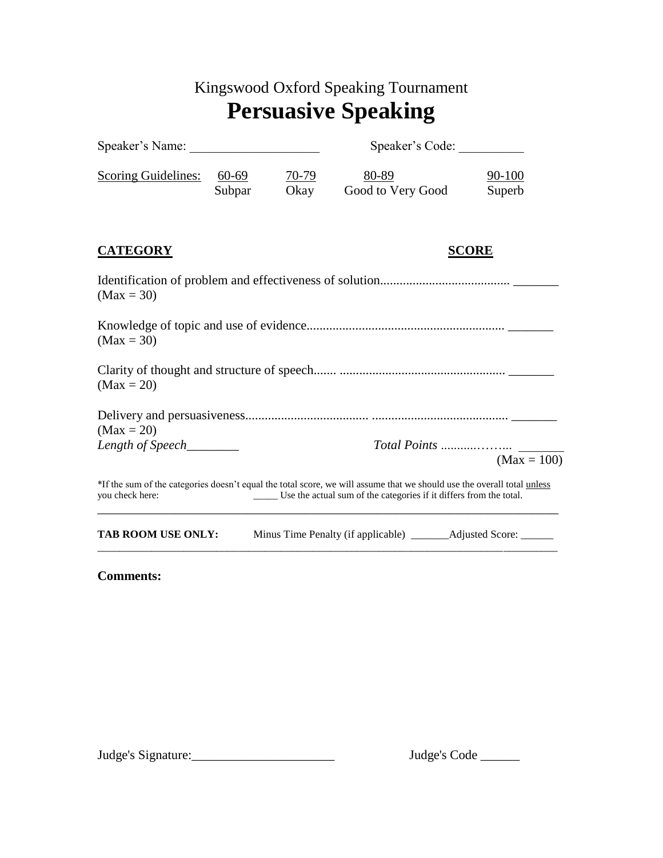## Kingswood Oxford Speaking Tournament **Persuasive Speaking**

| Speaker's Name:                                                                                                                                                                                                  |                   |                 | Speaker's Code:            |                  |  |
|------------------------------------------------------------------------------------------------------------------------------------------------------------------------------------------------------------------|-------------------|-----------------|----------------------------|------------------|--|
| <b>Scoring Guidelines:</b>                                                                                                                                                                                       | $60-69$<br>Subpar | $70-79$<br>Okay | 80-89<br>Good to Very Good | 90-100<br>Superb |  |
| <b>CATEGORY</b>                                                                                                                                                                                                  |                   |                 | <b>SCORE</b>               |                  |  |
| $(Max = 30)$                                                                                                                                                                                                     |                   |                 |                            |                  |  |
| $(Max = 30)$                                                                                                                                                                                                     |                   |                 |                            |                  |  |
| $(Max = 20)$                                                                                                                                                                                                     |                   |                 |                            |                  |  |
| $(Max = 20)$                                                                                                                                                                                                     |                   |                 |                            |                  |  |
| Length of Speech________                                                                                                                                                                                         |                   |                 |                            | $(Max = 100)$    |  |
| *If the sum of the categories doesn't equal the total score, we will assume that we should use the overall total unless<br>you check here:<br>Use the actual sum of the categories if it differs from the total. |                   |                 |                            |                  |  |
| <b>TAB ROOM USE ONLY:</b>                                                                                                                                                                                        |                   |                 |                            |                  |  |

**Comments:** 

Judge's Signature:\_\_\_\_\_\_\_\_\_\_\_\_\_\_\_\_\_\_\_\_\_\_ Judge's Code \_\_\_\_\_\_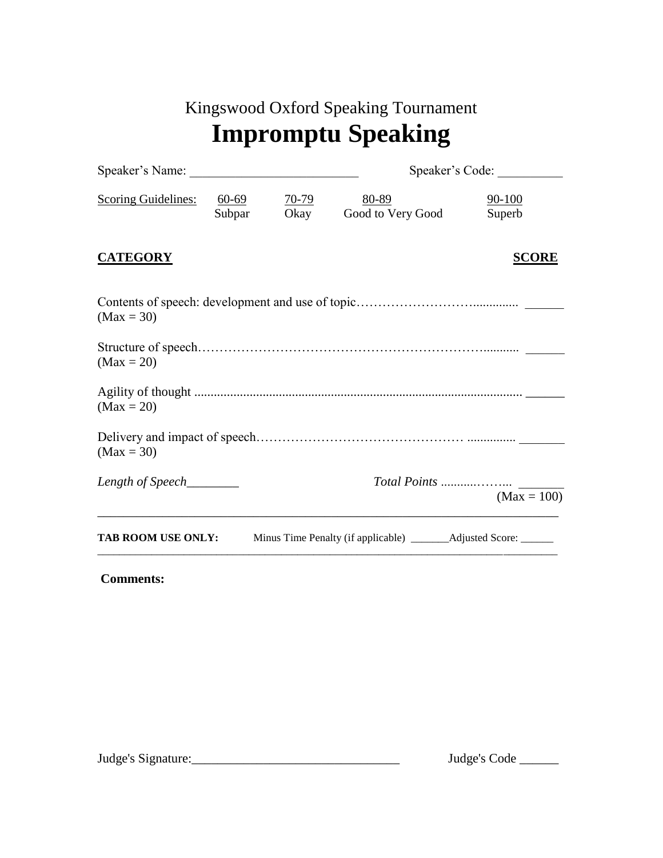| Kingswood Oxford Speaking Tournament |
|--------------------------------------|
| <b>Impromptu Speaking</b>            |

|                            |                        |                      |                            | Speaker's Code:  |  |  |
|----------------------------|------------------------|----------------------|----------------------------|------------------|--|--|
| <b>Scoring Guidelines:</b> | <u>60-69</u><br>Subpar | <u>70-79</u><br>Okay | 80-89<br>Good to Very Good | 90-100<br>Superb |  |  |
| <b>CATEGORY</b>            |                        |                      |                            | <b>SCORE</b>     |  |  |
| $(Max = 30)$               |                        |                      |                            |                  |  |  |
| $(Max = 20)$               |                        |                      |                            |                  |  |  |
| $(Max = 20)$               |                        |                      |                            |                  |  |  |
| $(Max = 30)$               |                        |                      |                            |                  |  |  |
| Length of Speech_______    |                        |                      |                            | $(Max = 100)$    |  |  |
| <b>TAB ROOM USE ONLY:</b>  |                        |                      |                            |                  |  |  |

## **Comments:**

 $\text{Judge's Signature:}\qquad \qquad \text{Judge's Code} \qquad \qquad \text{Judge's Code} \qquad \qquad \text{Judge's Code} \qquad \qquad \text{Judge's Code} \qquad \qquad \text{Judge's Code} \qquad \qquad \text{Judge's Code} \qquad \qquad \text{Judge's Code} \qquad \qquad \text{Judge's Code} \qquad \qquad \text{Judge's Code} \qquad \qquad \text{Judge's Code} \qquad \qquad \text{Judge's Code} \qquad \qquad \text{Judge's Code} \qquad \qquad \text{Judge's Code} \qquad \qquad \text{Judge's Code} \qquad \qquad \text{Judge's Code} \qquad$